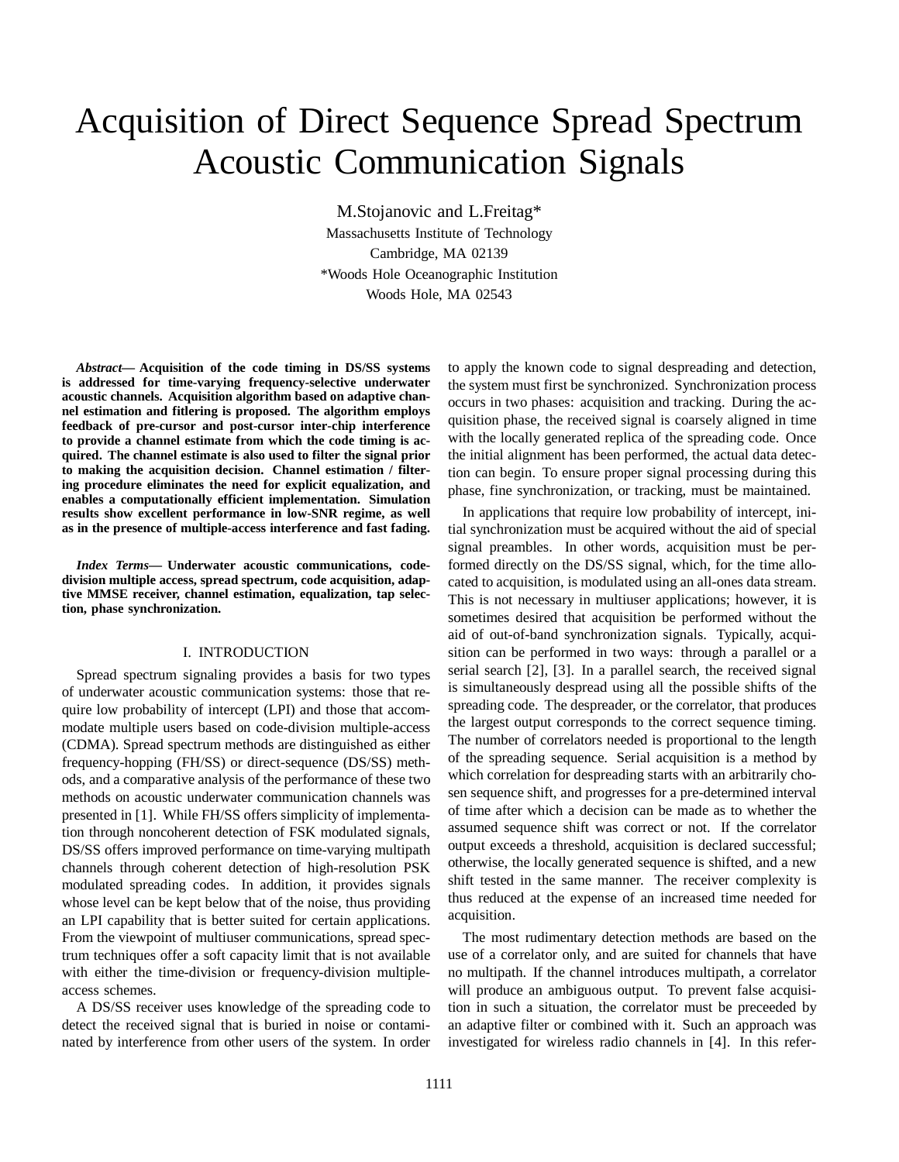# Acquisition of Direct Sequence Spread Spectrum Acoustic Communication Signals

M.Stojanovic and L.Freitag\* Massachusetts Institute of Technology Cambridge, MA 02139 \*Woods Hole Oceanographic Institution Woods Hole, MA 02543

*Abstract***— Acquisition of the code timing in DS/SS systems is addressed for time-varying frequency-selective underwater acoustic channels. Acquisition algorithm based on adaptive channel estimation and fitlering is proposed. The algorithm employs feedback of pre-cursor and post-cursor inter-chip interference to provide a channel estimate from which the code timing is acquired. The channel estimate is also used to filter the signal prior to making the acquisition decision. Channel estimation / filtering procedure eliminates the need for explicit equalization, and enables a computationally efficient implementation. Simulation results show excellent performance in low-SNR regime, as well as in the presence of multiple-access interference and fast fading.**

*Index Terms***— Underwater acoustic communications, codedivision multiple access, spread spectrum, code acquisition, adaptive MMSE receiver, channel estimation, equalization, tap selection, phase synchronization.**

# I. INTRODUCTION

Spread spectrum signaling provides a basis for two types of underwater acoustic communication systems: those that require low probability of intercept (LPI) and those that accommodate multiple users based on code-division multiple-access (CDMA). Spread spectrum methods are distinguished as either frequency-hopping (FH/SS) or direct-sequence (DS/SS) methods, and a comparative analysis of the performance of these two methods on acoustic underwater communication channels was presented in [1]. While FH/SS offers simplicity of implementation through noncoherent detection of FSK modulated signals, DS/SS offers improved performance on time-varying multipath channels through coherent detection of high-resolution PSK modulated spreading codes. In addition, it provides signals whose level can be kept below that of the noise, thus providing an LPI capability that is better suited for certain applications. From the viewpoint of multiuser communications, spread spectrum techniques offer a soft capacity limit that is not available with either the time-division or frequency-division multipleaccess schemes.

A DS/SS receiver uses knowledge of the spreading code to detect the received signal that is buried in noise or contaminated by interference from other users of the system. In order to apply the known code to signal despreading and detection, the system must first be synchronized. Synchronization process occurs in two phases: acquisition and tracking. During the acquisition phase, the received signal is coarsely aligned in time with the locally generated replica of the spreading code. Once the initial alignment has been performed, the actual data detection can begin. To ensure proper signal processing during this phase, fine synchronization, or tracking, must be maintained.

In applications that require low probability of intercept, initial synchronization must be acquired without the aid of special signal preambles. In other words, acquisition must be performed directly on the DS/SS signal, which, for the time allocated to acquisition, is modulated using an all-ones data stream. This is not necessary in multiuser applications; however, it is sometimes desired that acquisition be performed without the aid of out-of-band synchronization signals. Typically, acquisition can be performed in two ways: through a parallel or a serial search [2], [3]. In a parallel search, the received signal is simultaneously despread using all the possible shifts of the spreading code. The despreader, or the correlator, that produces the largest output corresponds to the correct sequence timing. The number of correlators needed is proportional to the length of the spreading sequence. Serial acquisition is a method by which correlation for despreading starts with an arbitrarily chosen sequence shift, and progresses for a pre-determined interval of time after which a decision can be made as to whether the assumed sequence shift was correct or not. If the correlator output exceeds a threshold, acquisition is declared successful; otherwise, the locally generated sequence is shifted, and a new shift tested in the same manner. The receiver complexity is thus reduced at the expense of an increased time needed for acquisition.

The most rudimentary detection methods are based on the use of a correlator only, and are suited for channels that have no multipath. If the channel introduces multipath, a correlator will produce an ambiguous output. To prevent false acquisition in such a situation, the correlator must be preceeded by an adaptive filter or combined with it. Such an approach was investigated for wireless radio channels in [4]. In this refer-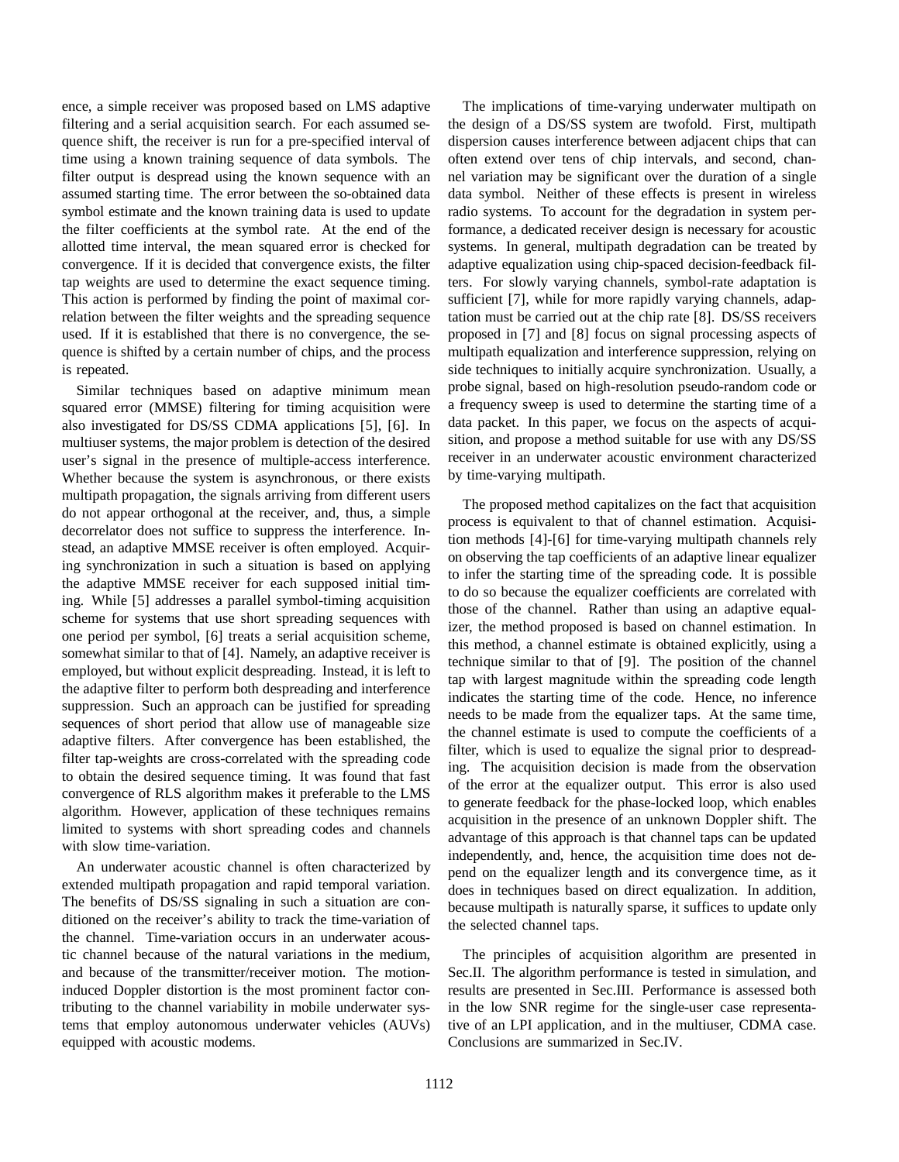ence, a simple receiver was proposed based on LMS adaptive filtering and a serial acquisition search. For each assumed sequence shift, the receiver is run for a pre-specified interval of time using a known training sequence of data symbols. The filter output is despread using the known sequence with an assumed starting time. The error between the so-obtained data symbol estimate and the known training data is used to update the filter coefficients at the symbol rate. At the end of the allotted time interval, the mean squared error is checked for convergence. If it is decided that convergence exists, the filter tap weights are used to determine the exact sequence timing. This action is performed by finding the point of maximal correlation between the filter weights and the spreading sequence used. If it is established that there is no convergence, the sequence is shifted by a certain number of chips, and the process is repeated.

Similar techniques based on adaptive minimum mean squared error (MMSE) filtering for timing acquisition were also investigated for DS/SS CDMA applications [5], [6]. In multiuser systems, the major problem is detection of the desired user's signal in the presence of multiple-access interference. Whether because the system is asynchronous, or there exists multipath propagation, the signals arriving from different users do not appear orthogonal at the receiver, and, thus, a simple decorrelator does not suffice to suppress the interference. Instead, an adaptive MMSE receiver is often employed. Acquiring synchronization in such a situation is based on applying the adaptive MMSE receiver for each supposed initial timing. While [5] addresses a parallel symbol-timing acquisition scheme for systems that use short spreading sequences with one period per symbol, [6] treats a serial acquisition scheme, somewhat similar to that of [4]. Namely, an adaptive receiver is employed, but without explicit despreading. Instead, it is left to the adaptive filter to perform both despreading and interference suppression. Such an approach can be justified for spreading sequences of short period that allow use of manageable size adaptive filters. After convergence has been established, the filter tap-weights are cross-correlated with the spreading code to obtain the desired sequence timing. It was found that fast convergence of RLS algorithm makes it preferable to the LMS algorithm. However, application of these techniques remains limited to systems with short spreading codes and channels with slow time-variation.

An underwater acoustic channel is often characterized by extended multipath propagation and rapid temporal variation. The benefits of DS/SS signaling in such a situation are conditioned on the receiver's ability to track the time-variation of the channel. Time-variation occurs in an underwater acoustic channel because of the natural variations in the medium, and because of the transmitter/receiver motion. The motioninduced Doppler distortion is the most prominent factor contributing to the channel variability in mobile underwater systems that employ autonomous underwater vehicles (AUVs) equipped with acoustic modems.

The implications of time-varying underwater multipath on the design of a DS/SS system are twofold. First, multipath dispersion causes interference between adjacent chips that can often extend over tens of chip intervals, and second, channel variation may be significant over the duration of a single data symbol. Neither of these effects is present in wireless radio systems. To account for the degradation in system performance, a dedicated receiver design is necessary for acoustic systems. In general, multipath degradation can be treated by adaptive equalization using chip-spaced decision-feedback filters. For slowly varying channels, symbol-rate adaptation is sufficient [7], while for more rapidly varying channels, adaptation must be carried out at the chip rate [8]. DS/SS receivers proposed in [7] and [8] focus on signal processing aspects of multipath equalization and interference suppression, relying on side techniques to initially acquire synchronization. Usually, a probe signal, based on high-resolution pseudo-random code or a frequency sweep is used to determine the starting time of a data packet. In this paper, we focus on the aspects of acquisition, and propose a method suitable for use with any DS/SS receiver in an underwater acoustic environment characterized by time-varying multipath.

The proposed method capitalizes on the fact that acquisition process is equivalent to that of channel estimation. Acquisition methods [4]-[6] for time-varying multipath channels rely on observing the tap coefficients of an adaptive linear equalizer to infer the starting time of the spreading code. It is possible to do so because the equalizer coefficients are correlated with those of the channel. Rather than using an adaptive equalizer, the method proposed is based on channel estimation. In this method, a channel estimate is obtained explicitly, using a technique similar to that of [9]. The position of the channel tap with largest magnitude within the spreading code length indicates the starting time of the code. Hence, no inference needs to be made from the equalizer taps. At the same time, the channel estimate is used to compute the coefficients of a filter, which is used to equalize the signal prior to despreading. The acquisition decision is made from the observation of the error at the equalizer output. This error is also used to generate feedback for the phase-locked loop, which enables acquisition in the presence of an unknown Doppler shift. The advantage of this approach is that channel taps can be updated independently, and, hence, the acquisition time does not depend on the equalizer length and its convergence time, as it does in techniques based on direct equalization. In addition, because multipath is naturally sparse, it suffices to update only the selected channel taps.

The principles of acquisition algorithm are presented in Sec.II. The algorithm performance is tested in simulation, and results are presented in Sec.III. Performance is assessed both in the low SNR regime for the single-user case representative of an LPI application, and in the multiuser, CDMA case. Conclusions are summarized in Sec.IV.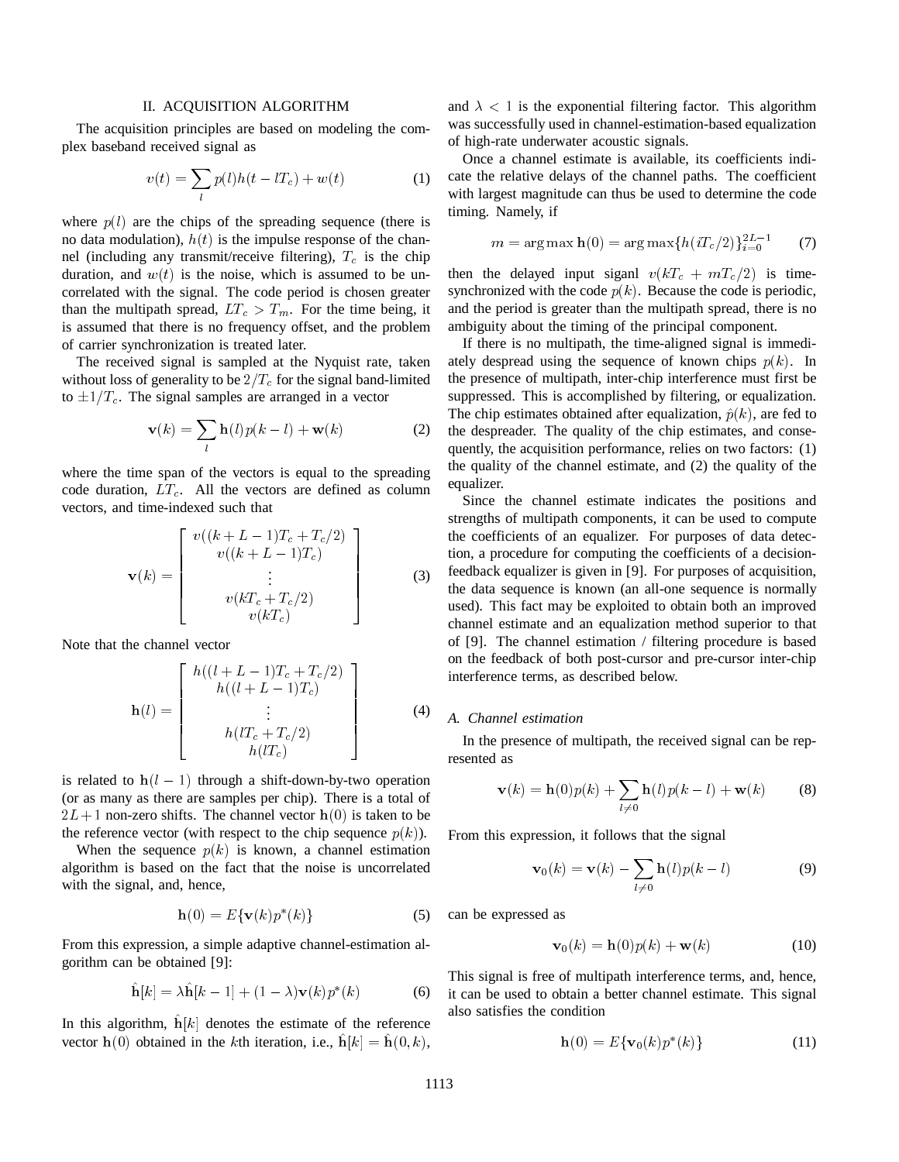### II. ACQUISITION ALGORITHM

The acquisition principles are based on modeling the complex baseband received signal as

$$
v(t) = \sum_{l} p(l)h(t - lT_c) + w(t)
$$
 (1)

where  $p(l)$  are the chips of the spreading sequence (there is no data modulation),  $h(t)$  is the impulse response of the channel (including any transmit/receive filtering),  $T_c$  is the chip duration, and  $w(t)$  is the noise, which is assumed to be uncorrelated with the signal. The code period is chosen greater than the multipath spread,  $LT_c > T_m$ . For the time being, it is assumed that there is no frequency offset, and the problem of carrier synchronization is treated later.

The received signal is sampled at the Nyquist rate, taken without loss of generality to be  $2/T_c$  for the signal band-limited to  $\pm 1/T_c$ . The signal samples are arranged in a vector

$$
\mathbf{v}(k) = \sum_{l} \mathbf{h}(l)p(k-l) + \mathbf{w}(k)
$$
 (2)

where the time span of the vectors is equal to the spreading code duration,  $LT_c$ . All the vectors are defined as column vectors, and time-indexed such that

$$
\mathbf{v}(k) = \begin{bmatrix} v((k+L-1)T_c + T_c/2) \\ v((k+L-1)T_c) \\ \vdots \\ v(kT_c + T_c/2) \\ v(kT_c) \end{bmatrix}
$$
(3)

Note that the channel vector

$$
\mathbf{h}(l) = \begin{bmatrix} h((l+L-1)T_c + T_c/2) \\ h((l+L-1)T_c) \\ \vdots \\ h(lT_c + T_c/2) \\ h(lT_c) \end{bmatrix}
$$
(4)

is related to  $h(l - 1)$  through a shift-down-by-two operation (or as many as there are samples per chip). There is a total of  $2L+1$  non-zero shifts. The channel vector  $h(0)$  is taken to be the reference vector (with respect to the chip sequence  $p(k)$ ).

When the sequence  $p(k)$  is known, a channel estimation algorithm is based on the fact that the noise is uncorrelated with the signal, and, hence,

$$
\mathbf{h}(0) = E\{\mathbf{v}(k)p^*(k)\}\tag{5}
$$

From this expression, a simple adaptive channel-estimation algorithm can be obtained [9]:

$$
\hat{\mathbf{h}}[k] = \lambda \hat{\mathbf{h}}[k-1] + (1-\lambda)\mathbf{v}(k)p^*(k) \tag{6}
$$

In this algorithm,  $\hat{\mathbf{h}}[k]$  denotes the estimate of the reference vector  $h(0)$  obtained in the kth iteration, i.e.,  $\hat{h}[k] = \hat{h}(0, k)$ ,

and  $\lambda < 1$  is the exponential filtering factor. This algorithm was successfully used in channel-estimation-based equalization of high-rate underwater acoustic signals.

Once a channel estimate is available, its coefficients indicate the relative delays of the channel paths. The coefficient with largest magnitude can thus be used to determine the code timing. Namely, if

$$
m = \arg \max \mathbf{h}(0) = \arg \max \{ h(iT_c/2) \}_{i=0}^{2L-1}
$$
 (7)

then the delayed input siganl  $v(kT_c + mT_c/2)$  is timesynchronized with the code  $p(k)$ . Because the code is periodic, and the period is greater than the multipath spread, there is no ambiguity about the timing of the principal component.

If there is no multipath, the time-aligned signal is immediately despread using the sequence of known chips  $p(k)$ . In the presence of multipath, inter-chip interference must first be suppressed. This is accomplished by filtering, or equalization. The chip estimates obtained after equalization,  $\hat{p}(k)$ , are fed to the despreader. The quality of the chip estimates, and consequently, the acquisition performance, relies on two factors: (1) the quality of the channel estimate, and (2) the quality of the equalizer.

Since the channel estimate indicates the positions and strengths of multipath components, it can be used to compute the coefficients of an equalizer. For purposes of data detection, a procedure for computing the coefficients of a decisionfeedback equalizer is given in [9]. For purposes of acquisition, the data sequence is known (an all-one sequence is normally used). This fact may be exploited to obtain both an improved channel estimate and an equalization method superior to that of [9]. The channel estimation / filtering procedure is based on the feedback of both post-cursor and pre-cursor inter-chip interference terms, as described below.

#### *A. Channel estimation*

In the presence of multipath, the received signal can be represented as

$$
\mathbf{v}(k) = \mathbf{h}(0)p(k) + \sum_{l \neq 0} \mathbf{h}(l)p(k-l) + \mathbf{w}(k)
$$
 (8)

From this expression, it follows that the signal

$$
\mathbf{v}_0(k) = \mathbf{v}(k) - \sum_{l \neq 0} \mathbf{h}(l)p(k-l)
$$
 (9)

can be expressed as

$$
\mathbf{v}_0(k) = \mathbf{h}(0)p(k) + \mathbf{w}(k)
$$
 (10)

This signal is free of multipath interference terms, and, hence, it can be used to obtain a better channel estimate. This signal also satisfies the condition

$$
\mathbf{h}(0) = E\{\mathbf{v}_0(k)p^*(k)\}\tag{11}
$$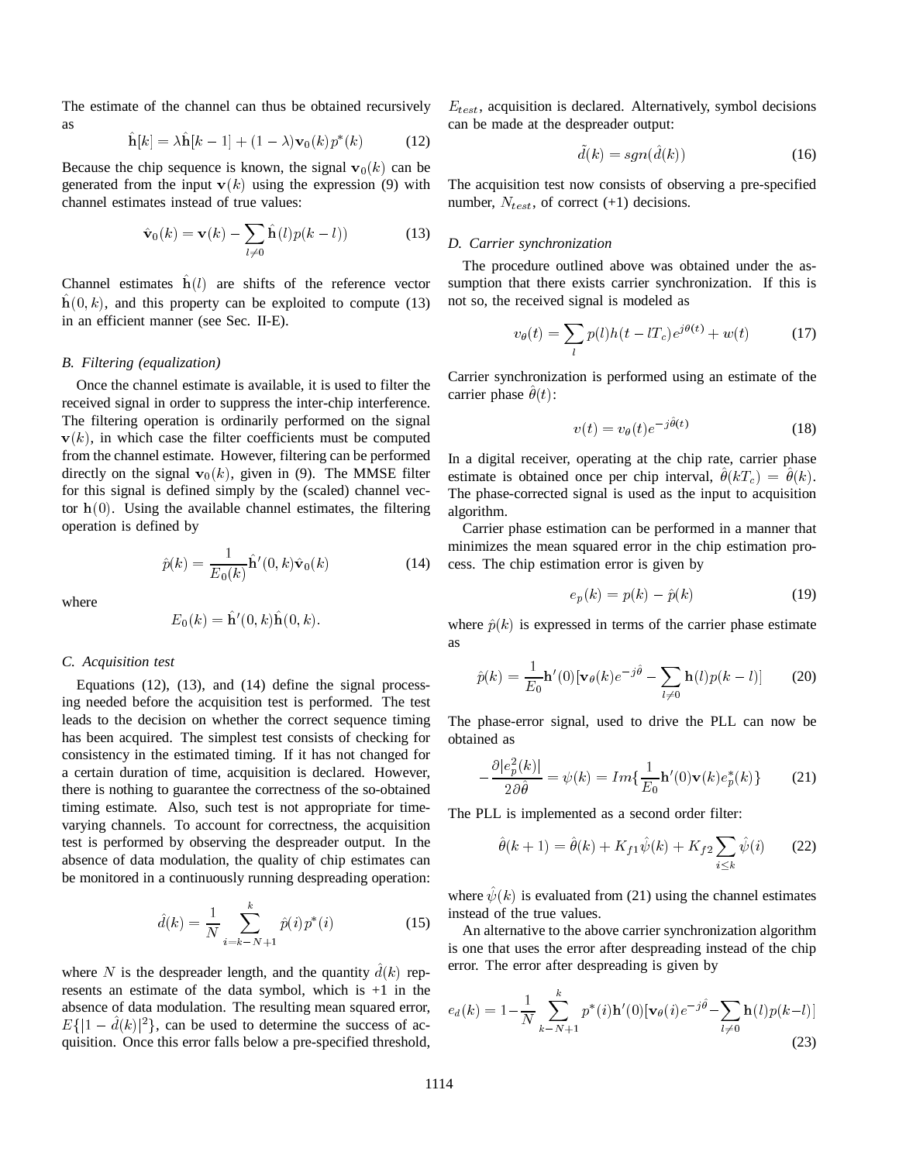The estimate of the channel can thus be obtained recursively as

$$
\hat{\mathbf{h}}[k] = \lambda \hat{\mathbf{h}}[k-1] + (1-\lambda)\mathbf{v}_0(k)p^*(k) \tag{12}
$$

Because the chip sequence is known, the signal  $v_0(k)$  can be generated from the input  $v(k)$  using the expression (9) with channel estimates instead of true values:

$$
\hat{\mathbf{v}}_0(k) = \mathbf{v}(k) - \sum_{l \neq 0} \hat{\mathbf{h}}(l)p(k-l))
$$
 (13)

Channel estimates  $\hat{\mathbf{h}}(l)$  are shifts of the reference vector  $h(0, k)$ , and this property can be exploited to compute (13) in an efficient manner (see Sec. II-E).

# *B. Filtering (equalization)*

Once the channel estimate is available, it is used to filter the received signal in order to suppress the inter-chip interference. The filtering operation is ordinarily performed on the signal  $\mathbf{v}(k)$ , in which case the filter coefficients must be computed from the channel estimate. However, filtering can be performed directly on the signal  $\mathbf{v}_0(k)$ , given in (9). The MMSE filter for this signal is defined simply by the (scaled) channel vector  $h(0)$ . Using the available channel estimates, the filtering operation is defined by

$$
\hat{p}(k) = \frac{1}{E_0(k)} \hat{\mathbf{h}}'(0, k)\hat{\mathbf{v}}_0(k)
$$
\n(14)

where

$$
E_0(k) = \hat{\mathbf{h}}'(0,k)\hat{\mathbf{h}}(0,k).
$$

# *C. Acquisition test*

Equations (12), (13), and (14) define the signal processing needed before the acquisition test is performed. The test leads to the decision on whether the correct sequence timing has been acquired. The simplest test consists of checking for consistency in the estimated timing. If it has not changed for a certain duration of time, acquisition is declared. However, there is nothing to guarantee the correctness of the so-obtained timing estimate. Also, such test is not appropriate for timevarying channels. To account for correctness, the acquisition test is performed by observing the despreader output. In the absence of data modulation, the quality of chip estimates can be monitored in a continuously running despreading operation:

$$
\hat{d}(k) = \frac{1}{N} \sum_{i=k-N+1}^{k} \hat{p}(i) p^*(i)
$$
 (15)

where N is the despreader length, and the quantity  $\hat{d}(k)$  represents an estimate of the data symbol, which is +1 in the absence of data modulation. The resulting mean squared error,  $E\{ |1 - \hat{d}(k)|^2 \}$ , can be used to determine the success of acquisition. Once this error falls below a pre-specified threshold,

 $E_{test}$ , acquisition is declared. Alternatively, symbol decisions can be made at the despreader output:

$$
\tilde{d}(k) = sgn(\hat{d}(k))\tag{16}
$$

The acquisition test now consists of observing a pre-specified number,  $N_{test}$ , of correct (+1) decisions.

### *D. Carrier synchronization*

The procedure outlined above was obtained under the assumption that there exists carrier synchronization. If this is not so, the received signal is modeled as

$$
v_{\theta}(t) = \sum_{l} p(l)h(t - lT_c)e^{j\theta(t)} + w(t)
$$
 (17)

Carrier synchronization is performed using an estimate of the carrier phase  $\ddot{\theta}(t)$ :

$$
v(t) = v_{\theta}(t)e^{-j\hat{\theta}(t)}
$$
\n(18)

In a digital receiver, operating at the chip rate, carrier phase estimate is obtained once per chip interval,  $\hat{\theta}(kT_c) = \hat{\theta}(k)$ . The phase-corrected signal is used as the input to acquisition algorithm.

Carrier phase estimation can be performed in a manner that minimizes the mean squared error in the chip estimation process. The chip estimation error is given by

$$
e_p(k) = p(k) - \hat{p}(k)
$$
 (19)

where  $\hat{p}(k)$  is expressed in terms of the carrier phase estimate as

$$
\hat{p}(k) = \frac{1}{E_0} \mathbf{h}'(0) [\mathbf{v}_{\theta}(k) e^{-j\hat{\theta}} - \sum_{l \neq 0} \mathbf{h}(l) p(k-l)] \qquad (20)
$$

The phase-error signal, used to drive the PLL can now be obtained as

$$
-\frac{\partial |e_p^2(k)|}{2\partial \hat{\theta}} = \psi(k) = Im\{\frac{1}{E_0}\mathbf{h}'(0)\mathbf{v}(k)e_p^*(k)\}
$$
 (21)

The PLL is implemented as a second order filter:

$$
\hat{\theta}(k+1) = \hat{\theta}(k) + K_{f1}\hat{\psi}(k) + K_{f2}\sum_{i \le k} \hat{\psi}(i) \qquad (22)
$$

where  $\hat{\psi}(k)$  is evaluated from (21) using the channel estimates instead of the true values.

An alternative to the above carrier synchronization algorithm is one that uses the error after despreading instead of the chip error. The error after despreading is given by

$$
e_d(k) = 1 - \frac{1}{N} \sum_{k=N+1}^{k} p^*(i) \mathbf{h}'(0) [\mathbf{v}_\theta(i) e^{-j\hat{\theta}} - \sum_{l \neq 0} \mathbf{h}(l) p(k-l)]
$$
\n(23)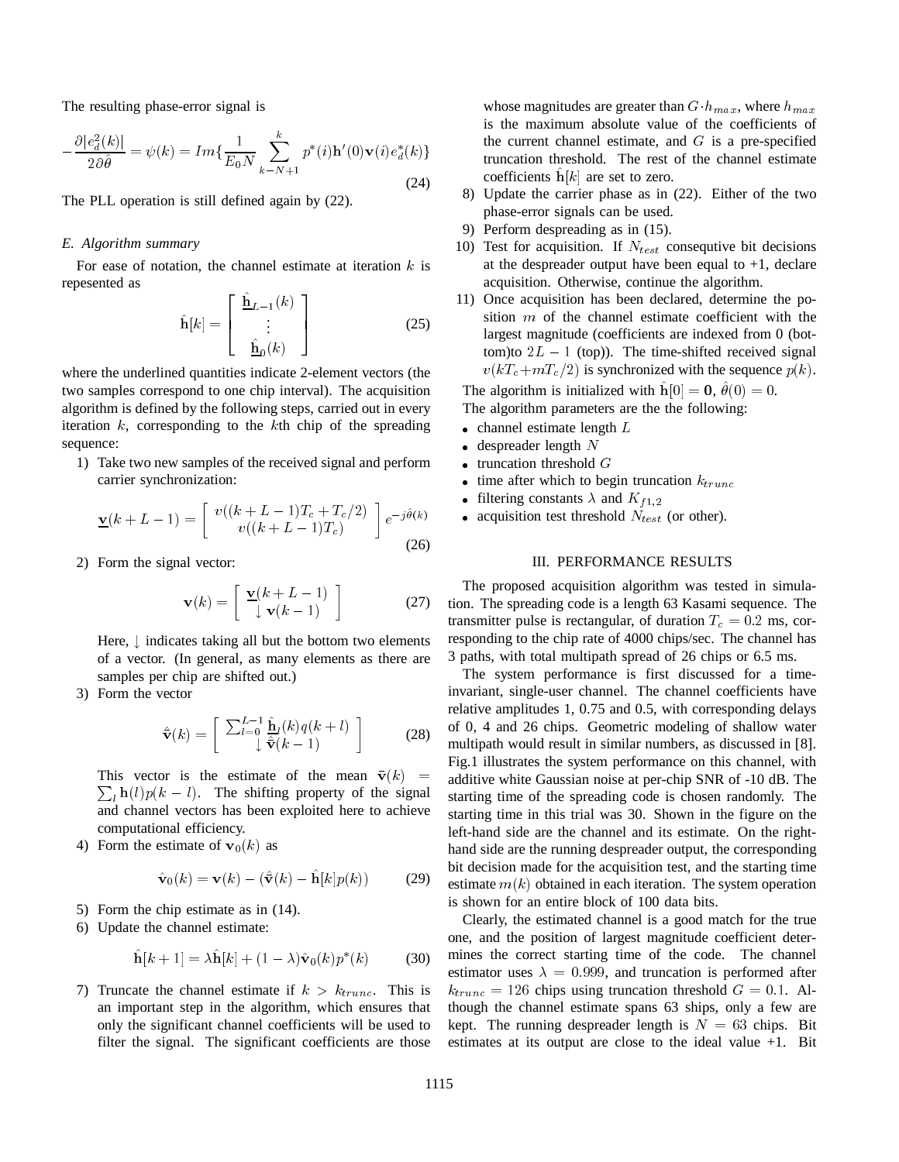The resulting phase-error signal is

$$
-\frac{\partial |e_d^2(k)|}{2\partial \hat{\theta}} = \psi(k) = Im\{\frac{1}{E_0 N} \sum_{k=N+1}^k p^*(i) \mathbf{h}'(0) \mathbf{v}(i) e_d^*(k)\}
$$
(24)

The PLL operation is still defined again by (22).

#### *E. Algorithm summary*

For ease of notation, the channel estimate at iteration  $k$  is repesented as

$$
\hat{\mathbf{h}}[k] = \begin{bmatrix} \hat{\mathbf{h}}_{L-1}(k) \\ \vdots \\ \hat{\mathbf{h}}_{0}(k) \end{bmatrix}
$$
 (25)

where the underlined quantities indicate 2-element vectors (the two samples correspond to one chip interval). The acquisition algorithm is defined by the following steps, carried out in every iteration  $k$ , corresponding to the  $k$ th chip of the spreading sequence:

1) Take two new samples of the received signal and perform carrier synchronization:

$$
\underline{\mathbf{v}}(k+L-1) = \begin{bmatrix} v((k+L-1)T_c + T_c/2) \\ v((k+L-1)T_c) \end{bmatrix} e^{-j\hat{\theta}(k)} \tag{26}
$$

2) Form the signal vector:

$$
\mathbf{v}(k) = \left[ \begin{array}{c} \mathbf{\underline{v}}(k+L-1) \\ \downarrow \mathbf{v}(k-1) \end{array} \right] \tag{27}
$$

Here,  $\perp$  indicates taking all but the bottom two elements of a vector. (In general, as many elements as there are samples per chip are shifted out.)

3) Form the vector

$$
\hat{\mathbf{v}}(k) = \left[ \begin{array}{c} \sum_{l=0}^{L-1} \hat{\mathbf{h}}_l(k) q(k+l) \\ \downarrow \hat{\mathbf{v}}(k-1) \end{array} \right] \tag{28}
$$

This vector is the estimate of the mean  $\bar{\mathbf{v}}(k)$  =  $\sum_l \mathbf{h}(l)p(k-l)$ . The shifting property of the signal and channel vectors has been exploited here to achieve computational efficiency.

4) Form the estimate of  $\mathbf{v}_0(k)$  as

$$
\hat{\mathbf{v}}_0(k) = \mathbf{v}(k) - (\hat{\bar{\mathbf{v}}}(k) - \hat{\mathbf{h}}[k]p(k))
$$
 (29)

- 5) Form the chip estimate as in (14).
- 6) Update the channel estimate:

$$
\hat{\mathbf{h}}[k+1] = \lambda \hat{\mathbf{h}}[k] + (1-\lambda)\hat{\mathbf{v}}_0(k)p^*(k) \quad (30)
$$

7) Truncate the channel estimate if  $k > k_{trunc}$ . This is an important step in the algorithm, which ensures that only the significant channel coefficients will be used to filter the signal. The significant coefficients are those whose magnitudes are greater than  $G$   $h_{max}$ , where  $h_{max}$ is the maximum absolute value of the coefficients of the current channel estimate, and  $G$  is a pre-specified truncation threshold. The rest of the channel estimate coefficients  $h[k]$  are set to zero.

- 8) Update the carrier phase as in (22). Either of the two phase-error signals can be used.
- 9) Perform despreading as in (15).
- 10) Test for acquisition. If  $N_{test}$  consequtive bit decisions at the despreader output have been equal to  $+1$ , declare acquisition. Otherwise, continue the algorithm.
- 11) Once acquisition has been declared, determine the position  $m$  of the channel estimate coefficient with the largest magnitude (coefficients are indexed from 0 (bottom)to  $2L - 1$  (top)). The time-shifted received signal  $v(kT_c+mT_c/2)$  is synchronized with the sequence  $p(k)$ .

The algorithm is initialized with  $\hat{\mathbf{h}}[0] = \mathbf{0}, \hat{\theta}(0) = 0$ .

The algorithm parameters are the the following:

- $\bullet$  channel estimate length  $L$
- $\bullet$  despreader length  $N$
- truncation threshold  $G$
- ime after which to begin truncation  $k_{trunc}$
- filtering constants  $\lambda$  and  $K_{f1,2}$
- acquisition test threshold  $N_{test}$  (or other).

# III. PERFORMANCE RESULTS

The proposed acquisition algorithm was tested in simulation. The spreading code is a length 63 Kasami sequence. The transmitter pulse is rectangular, of duration  $T_c = 0.2$  ms, corresponding to the chip rate of 4000 chips/sec. The channel has 3 paths, with total multipath spread of 26 chips or 6.5 ms.

The system performance is first discussed for a timeinvariant, single-user channel. The channel coefficients have relative amplitudes 1, 0.75 and 0.5, with corresponding delays of 0, 4 and 26 chips. Geometric modeling of shallow water multipath would result in similar numbers, as discussed in [8]. Fig.1 illustrates the system performance on this channel, with additive white Gaussian noise at per-chip SNR of -10 dB. The starting time of the spreading code is chosen randomly. The starting time in this trial was 30. Shown in the figure on the left-hand side are the channel and its estimate. On the righthand side are the running despreader output, the corresponding bit decision made for the acquisition test, and the starting time estimate  $m(k)$  obtained in each iteration. The system operation is shown for an entire block of 100 data bits.

Clearly, the estimated channel is a good match for the true one, and the position of largest magnitude coefficient determines the correct starting time of the code. The channel estimator uses  $\lambda = 0.999$ , and truncation is performed after  $k_{trunc} = 126$  chips using truncation threshold  $G = 0.1$ . Although the channel estimate spans 63 ships, only a few are kept. The running despreader length is  $N = 63$  chips. Bit estimates at its output are close to the ideal value +1. Bit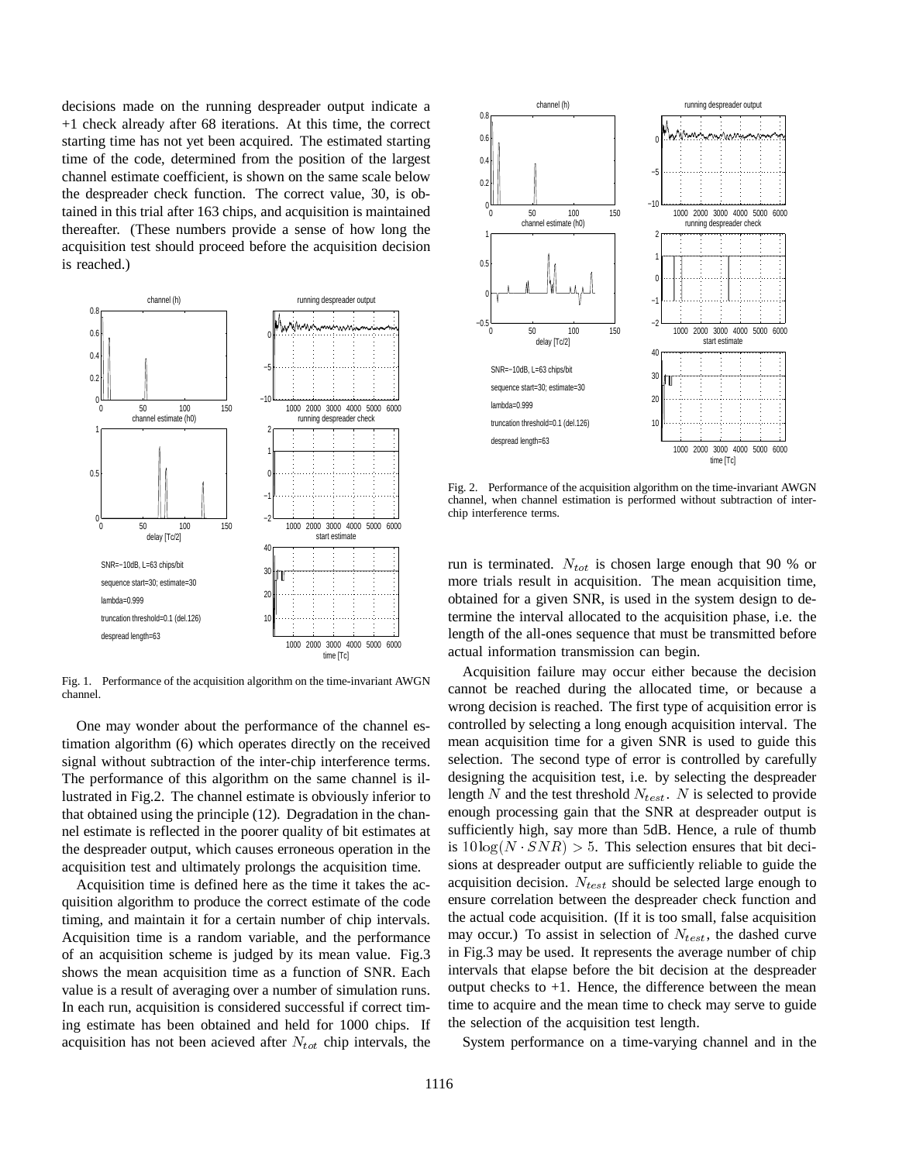decisions made on the running despreader output indicate a +1 check already after 68 iterations. At this time, the correct starting time has not yet been acquired. The estimated starting time of the code, determined from the position of the largest channel estimate coefficient, is shown on the same scale below the despreader check function. The correct value, 30, is obtained in this trial after 163 chips, and acquisition is maintained thereafter. (These numbers provide a sense of how long the acquisition test should proceed before the acquisition decision is reached.)



Fig. 1. Performance of the acquisition algorithm on the time-invariant AWGN channel.

One may wonder about the performance of the channel estimation algorithm (6) which operates directly on the received signal without subtraction of the inter-chip interference terms. The performance of this algorithm on the same channel is illustrated in Fig.2. The channel estimate is obviously inferior to that obtained using the principle (12). Degradation in the channel estimate is reflected in the poorer quality of bit estimates at the despreader output, which causes erroneous operation in the acquisition test and ultimately prolongs the acquisition time.

Acquisition time is defined here as the time it takes the acquisition algorithm to produce the correct estimate of the code timing, and maintain it for a certain number of chip intervals. Acquisition time is a random variable, and the performance of an acquisition scheme is judged by its mean value. Fig.3 shows the mean acquisition time as a function of SNR. Each value is a result of averaging over a number of simulation runs. In each run, acquisition is considered successful if correct timing estimate has been obtained and held for 1000 chips. If acquisition has not been acieved after  $N_{tot}$  chip intervals, the



Fig. 2. Performance of the acquisition algorithm on the time-invariant AWGN channel, when channel estimation is performed without subtraction of interchip interference terms.

run is terminated.  $N_{tot}$  is chosen large enough that 90 % or more trials result in acquisition. The mean acquisition time, obtained for a given SNR, is used in the system design to determine the interval allocated to the acquisition phase, i.e. the length of the all-ones sequence that must be transmitted before actual information transmission can begin.

Acquisition failure may occur either because the decision cannot be reached during the allocated time, or because a wrong decision is reached. The first type of acquisition error is controlled by selecting a long enough acquisition interval. The mean acquisition time for a given SNR is used to guide this selection. The second type of error is controlled by carefully designing the acquisition test, i.e. by selecting the despreader length N and the test threshold  $N_{test}$ . N is selected to provide enough processing gain that the SNR at despreader output is sufficiently high, say more than 5dB. Hence, a rule of thumb is  $10\log(N \cdot SNR) > 5$ . This selection ensures that bit decisions at despreader output are sufficiently reliable to guide the acquisition decision.  $N_{test}$  should be selected large enough to ensure correlation between the despreader check function and the actual code acquisition. (If it is too small, false acquisition may occur.) To assist in selection of  $N_{test}$ , the dashed curve in Fig.3 may be used. It represents the average number of chip intervals that elapse before the bit decision at the despreader output checks to  $+1$ . Hence, the difference between the mean time to acquire and the mean time to check may serve to guide the selection of the acquisition test length.

System performance on a time-varying channel and in the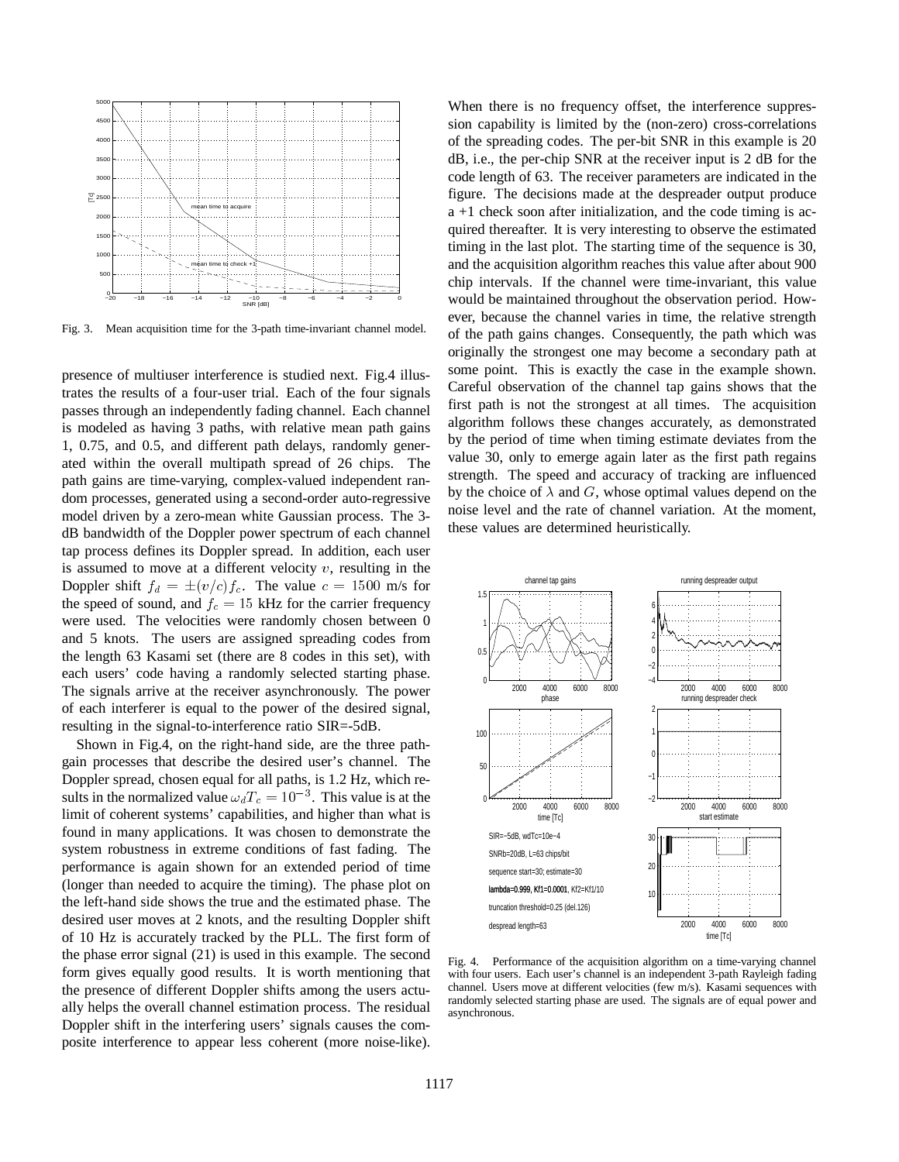

Fig. 3. Mean acquisition time for the 3-path time-invariant channel model.

presence of multiuser interference is studied next. Fig.4 illustrates the results of a four-user trial. Each of the four signals passes through an independently fading channel. Each channel is modeled as having 3 paths, with relative mean path gains 1, 0.75, and 0.5, and different path delays, randomly generated within the overall multipath spread of 26 chips. The path gains are time-varying, complex-valued independent random processes, generated using a second-order auto-regressive model driven by a zero-mean white Gaussian process. The 3 dB bandwidth of the Doppler power spectrum of each channel tap process defines its Doppler spread. In addition, each user is assumed to move at a different velocity  $v$ , resulting in the Doppler shift  $f_d = \pm (v/c)f_c$ . The value  $c = 1500$  m/s for the speed of sound, and  $f_c = 15$  kHz for the carrier frequency were used. The velocities were randomly chosen between 0 and 5 knots. The users are assigned spreading codes from the length 63 Kasami set (there are 8 codes in this set), with each users' code having a randomly selected starting phase. The signals arrive at the receiver asynchronously. The power of each interferer is equal to the power of the desired signal, resulting in the signal-to-interference ratio SIR=-5dB.

Shown in Fig.4, on the right-hand side, are the three pathgain processes that describe the desired user's channel. The Doppler spread, chosen equal for all paths, is 1.2 Hz, which results in the normalized value  $\omega_d T_c = 10^{-3}$ . This value is at the limit of coherent systems' capabilities, and higher than what is found in many applications. It was chosen to demonstrate the system robustness in extreme conditions of fast fading. The performance is again shown for an extended period of time (longer than needed to acquire the timing). The phase plot on the left-hand side shows the true and the estimated phase. The desired user moves at 2 knots, and the resulting Doppler shift of 10 Hz is accurately tracked by the PLL. The first form of the phase error signal (21) is used in this example. The second form gives equally good results. It is worth mentioning that the presence of different Doppler shifts among the users actually helps the overall channel estimation process. The residual Doppler shift in the interfering users' signals causes the composite interference to appear less coherent (more noise-like).

When there is no frequency offset, the interference suppression capability is limited by the (non-zero) cross-correlations of the spreading codes. The per-bit SNR in this example is 20 dB, i.e., the per-chip SNR at the receiver input is 2 dB for the code length of 63. The receiver parameters are indicated in the figure. The decisions made at the despreader output produce a +1 check soon after initialization, and the code timing is acquired thereafter. It is very interesting to observe the estimated timing in the last plot. The starting time of the sequence is 30, and the acquisition algorithm reaches this value after about 900 chip intervals. If the channel were time-invariant, this value would be maintained throughout the observation period. However, because the channel varies in time, the relative strength of the path gains changes. Consequently, the path which was originally the strongest one may become a secondary path at some point. This is exactly the case in the example shown. Careful observation of the channel tap gains shows that the first path is not the strongest at all times. The acquisition algorithm follows these changes accurately, as demonstrated by the period of time when timing estimate deviates from the value 30, only to emerge again later as the first path regains strength. The speed and accuracy of tracking are influenced by the choice of  $\lambda$  and G, whose optimal values depend on the noise level and the rate of channel variation. At the moment, these values are determined heuristically.



Fig. 4. Performance of the acquisition algorithm on a time-varying channel with four users. Each user's channel is an independent 3-path Rayleigh fading channel. Users move at different velocities (few m/s). Kasami sequences with randomly selected starting phase are used. The signals are of equal power and asynchronous.